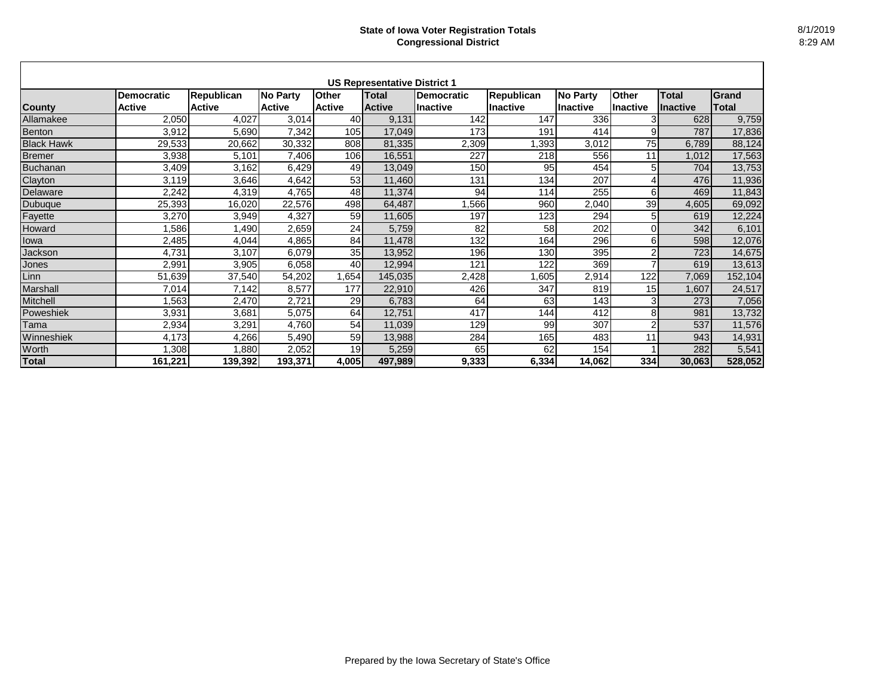|                   |                   |                   |               |               | <b>US Representative District 1</b> |                   |                   |                 |                 |                 |         |
|-------------------|-------------------|-------------------|---------------|---------------|-------------------------------------|-------------------|-------------------|-----------------|-----------------|-----------------|---------|
|                   | <b>Democratic</b> | <b>Republican</b> | No Party      | <b>Other</b>  | Total                               | <b>Democratic</b> | <b>Republican</b> | <b>No Party</b> | <b>Other</b>    | <b>Total</b>    | Grand   |
| <b>County</b>     | <b>Active</b>     | <b>Active</b>     | <b>Active</b> | <b>Active</b> | <b>Active</b>                       | <b>Inactive</b>   | Ilnactive         | <b>Inactive</b> | <b>Inactive</b> | <b>Inactive</b> | Total   |
| Allamakee         | 2,050             | 4,027             | 3,014         | 40            | 9,131                               | 142               | 147               | 336             | 3               | 628             | 9,759   |
| Benton            | 3,912             | 5,690             | 7,342         | 105           | 17,049                              | 173               | 191               | 414             | 9               | 787             | 17,836  |
| <b>Black Hawk</b> | 29,533            | 20,662            | 30,332        | 808           | 81,335                              | 2,309             | ,393              | 3,012           | 75              | 6,789           | 88,124  |
| <b>Bremer</b>     | 3,938             | 5,101             | 7,406         | 106           | 16,551                              | 227               | 218               | 556             | 11              | 1,012           | 17,563  |
| <b>Buchanan</b>   | 3,409             | 3,162             | 6,429         | 49            | 13,049                              | 150               | 95                | 454             | 5               | 704             | 13,753  |
| Clayton           | 3,119             | 3,646             | 4,642         | 53            | 11,460                              | 131               | 134               | 207             | 4               | 476             | 11,936  |
| Delaware          | 2,242             | 4,319             | 4,765         | 48            | 11,374                              | 94                | 114               | 255             | 6               | 469             | 11,843  |
| <b>Dubuque</b>    | 25,393            | 16,020            | 22,576        | 498           | 64,487                              | ,566              | 960               | 2,040           | 39              | 4,605           | 69,092  |
| Fayette           | 3,270             | 3,949             | 4,327         | 59            | 11,605                              | 197               | 123               | 294             | 5               | 619             | 12,224  |
| Howard            | ,586              | ,490              | 2,659         | 24            | 5,759                               | 82                | 58                | 202             | 0               | 342             | 6,101   |
| Iowa              | 2,485             | 4,044             | 4,865         | 84            | 11,478                              | 132               | 164               | 296             | 6               | 598             | 12,076  |
| Jackson           | 4,731             | 3,107             | 6,079         | 35            | 13,952                              | 196               | 130               | 395             | 2               | 723             | 14,675  |
| Jones             | 2,991             | 3,905             | 6,058         | 40            | 12,994                              | 121               | 122               | 369             | ⇁               | 619             | 13,613  |
| Linn              | 51,639            | 37,540            | 54,202        | 1,654         | 145,035                             | 2,428             | ,605              | 2,914           | 122             | 7,069           | 152,104 |
| <b>Marshall</b>   | 7,014             | 7,142             | 8,577         | 177           | 22,910                              | 426               | 347               | 819             | 15 <sup>1</sup> | 1,607           | 24,517  |
| <b>Mitchell</b>   | ,563              | 2,470             | 2,721         | 29            | 6,783                               | 64                | 63                | 143             | 3               | 273             | 7,056   |
| Poweshiek         | 3,931             | 3,681             | 5,075         | 64            | 12,751                              | 417               | 144               | 412             | 8               | 981             | 13,732  |
| Tama              | 2,934             | 3,291             | 4,760         | 54            | 11,039                              | 129               | 99                | 307             | 2               | 537             | 11,576  |
| Winneshiek        | 4,173             | 4,266             | 5,490         | 59            | 13,988                              | 284               | 165               | 483             | 11              | 943             | 14,931  |
| Worth             | ,308              | ,880              | 2,052         | 19            | 5,259                               | 65                | 62                | 154             |                 | 282             | 5,541   |
| <b>Total</b>      | 161,221           | 139,392           | 193,371       | 4,005         | 497,989                             | 9,333             | 6,334             | 14,062          | 334             | 30,063          | 528,052 |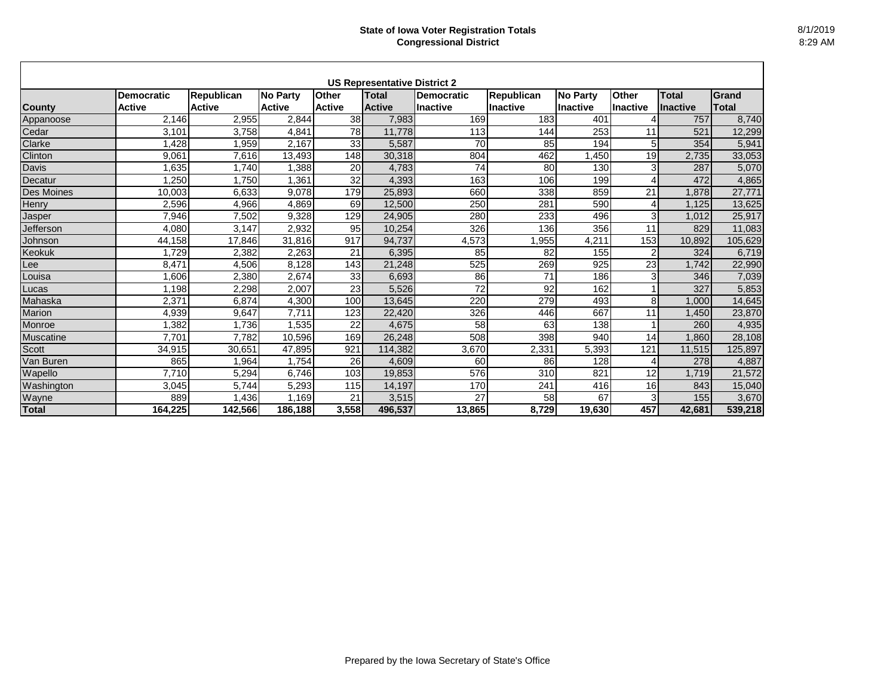|                  |                   |                   |                    |               | <b>US Representative District 2</b> |                 |                   |                 |                 |                 |              |
|------------------|-------------------|-------------------|--------------------|---------------|-------------------------------------|-----------------|-------------------|-----------------|-----------------|-----------------|--------------|
|                  | <b>Democratic</b> | <b>Republican</b> | <b>No Party</b>    | <b>Other</b>  | <b>Total</b>                        | Democratic      | <b>Republican</b> | <b>No Party</b> | <b>Other</b>    | <b>Total</b>    | <b>Grand</b> |
| <b>County</b>    | <b>Active</b>     | <b>Active</b>     | <b>Active</b>      | <b>Active</b> | <b>Active</b>                       | <b>Inactive</b> | <b>Inactive</b>   | <b>Inactive</b> | <b>Inactive</b> | <b>Inactive</b> | Total        |
| Appanoose        | 2,146             | 2,955             | 2,844              | 38            | 7,983                               | 169             | 183               | 401             |                 | 757             | 8,740        |
| Cedar            | 3,101             | 3,758             | 4,841              | 78            | 11,778                              | 113             | 144               | 253             | 11              | 521             | 12,299       |
| Clarke           | 1,428             | ,959              | 2,167              | 33            | 5,587                               | 70              | 85                | 194             | 5               | 354             | 5,941        |
| Clinton          | 9,061             | 7,616             | 13,493             | 148           | 30,318                              | 804             | 462               | ,450            | 19              | 2,735           | 33,053       |
| <b>Davis</b>     | ,635              | 1,740             | ,388               | 20            | 4,783                               | $\overline{74}$ | 80                | 130             | 3               | 287             | 5,070        |
| Decatur          | ,250              | 1,750             | .361               | 32            | 4,393                               | 163             | 106               | 199             | 4               | 472             | 4,865        |
| Des Moines       | 10,003            | 6,633             | 9,078              | 179           | 25,893                              | 660             | 338               | 859             | 21              | .878            | 27,771       |
| Henry            | 2,596             | 4,966             | 4,869              | 69            | 12,500                              | 250             | 281               | 590             | 4               | 1,125           | 13,625       |
| Jasper           | 7,946             | 7,502             | 9,328              | 129           | 24,905                              | 280             | 233               | 496             | 3               | 1,012           | 25,917       |
| Jefferson        | 4,080             | 3,147             | 2,932              | 95            | 10,254                              | 326             | 136               | 356             | 11              | 829             | 11,083       |
| Johnson          | 44,158            | 17,846            | 31,816             | 917           | 94,737                              | 4,573           | ,955              | 4,211           | 153             | 10,892          | 105,629      |
| Keokuk           | 1,729             | 2,382             | 2,263              | 21            | 6,395                               | 85              | 82                | 155             | $\overline{2}$  | 324             | 6,719        |
| Lee              | 8,471             | 4,506             | 8,128              | 143           | 21,248                              | 525             | 269               | 925             | 23              | 1,742           | 22,990       |
| _ouisa           | .606              | 2,380             | 2,674              | 33            | 6,693                               | 86              | $\overline{71}$   | 186             | 3               | 346             | 7,039        |
| Lucas            | 1,198             | 2,298             | 2,007              | 23            | 5,526                               | $\overline{72}$ | 92                | 162             |                 | 327             | 5,853        |
| Mahaska          | 2,371             | 6,874             | 4,300              | 100           | 13,645                              | 220             | 279               | 493             | 8               | 1,000           | 14,645       |
| Marion           | 4,939             | 9,647             | 7,711              | 123           | 22,420                              | 326             | 446               | 667             | 11              | 1,450           | 23,870       |
| Monroe           | 1,382             | 1,736             | ,535               | 22            | 4,675                               | 58              | 63                | 138             |                 | 260             | 4,935        |
| <b>Muscatine</b> | 7,701             | 7,782             | 10,596             | 169           | 26,248                              | 508             | 398               | 940             | 14              | 1,860           | 28,108       |
| <b>Scott</b>     | 34,915            | 30,651            | 47,895             | 921           | 114,382                             | 3,670           | 2,331             | 5,393           | 121             | 11,515          | 125,897      |
| Van Buren        | 865               | ,964              | 1,754              | 26            | 4,609                               | 60              | 86                | 128             | 4               | 278             | 4,887        |
| Wapello          | 7.710             | 5,294             | 6,746              | 103           | 19,853                              | 576             | 310               | 821             | 12              | 1,719           | 21,572       |
| Washington       | 3,045             | 5,744             | $\overline{5,}293$ | 115           | 14,197                              | 170             | 241               | 416             | 16              | 843             | 15,040       |
| Wayne            | 889               | ,436              | 1,169              | 21            | 3,515                               | 27              | 58                | 67              | 3               | 155             | 3,670        |
| <b>Total</b>     | 164,225           | 142,566           | 186,188            | 3,558         | 496,537                             | 13,865          | 8,729             | 19,630          | 457             | 42,681          | 539,218      |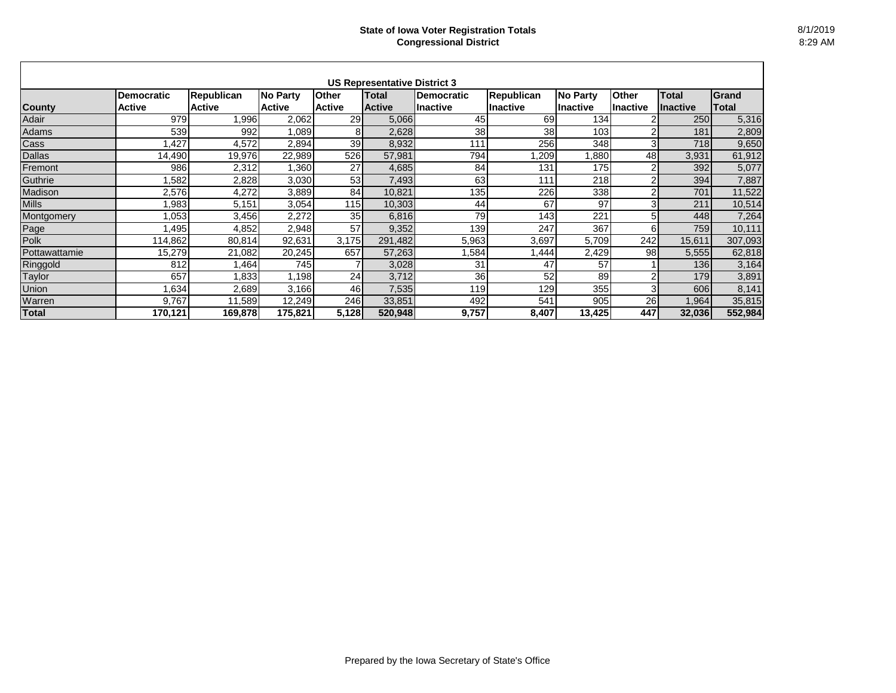|               |                                    |                                    |                           |                        | <b>US Representative District 3</b> |                                |                                |                              |                                 |                                 |                       |
|---------------|------------------------------------|------------------------------------|---------------------------|------------------------|-------------------------------------|--------------------------------|--------------------------------|------------------------------|---------------------------------|---------------------------------|-----------------------|
| <b>County</b> | <b>Democratic</b><br><b>Active</b> | <b>Republican</b><br><b>Active</b> | No Party<br><b>Active</b> | Other<br><b>Active</b> | Total<br><b>Active</b>              | <b>Democratic</b><br>llnactive | <b>Republican</b><br>Ilnactive | <b>No Party</b><br>lInactive | <b>Other</b><br><b>Inactive</b> | <b>Total</b><br><b>Inactive</b> | Grand<br><b>Total</b> |
| Adair         | 979                                | 1,996                              | 2,062                     | 29                     | 5,066                               | 45                             | 69                             | 134                          |                                 | 250                             | 5,316                 |
| Adams         | 539                                | 992                                | 1,089                     | 81                     | 2,628                               | 38                             | 38                             | 103                          | 2                               | 181                             | 2,809                 |
| Cass          | ,427                               | 4,572                              | 2,894                     | 39                     | 8,932                               | 111                            | 256                            | 348                          | 3                               | 718                             | 9,650                 |
| <b>Dallas</b> | 14,490                             | 19,976                             | 22,989                    | 526                    | 57,981                              | 794                            | ,209                           | ,880                         | 48                              | 3,931                           | 61,912                |
| Fremont       | 986                                | 2,312                              | 1,360                     | 27                     | 4,685                               | 84                             | 131                            | <b>175</b>                   | 2                               | 392                             | 5,077                 |
| Guthrie       | ,582                               | 2,828                              | 3,030                     | 53                     | 7,493                               | 63                             | 111                            | 218                          | $\overline{2}$                  | 394                             | 7,887                 |
| Madison       | 2,576                              | 4,272                              | 3,889                     | 84                     | 10,821                              | 135                            | 226                            | 338                          | 2                               | 701                             | 11,522                |
| <b>Mills</b>  | 1,983                              | 5,151                              | 3,054                     | 115                    | 10,303                              | 44                             | 67                             | 97                           | 3                               | 211                             | 10,514                |
| Montgomery    | 1,053                              | 3,456                              | 2,272                     | 35                     | 6,816                               | 79                             | 143                            | 221                          | 5                               | 448                             | 7,264                 |
| Page          | 1,495                              | 4,852                              | 2,948                     | 57                     | 9,352                               | 139                            | 247                            | 367                          | 6                               | 759                             | 10,111                |
| Polk          | 114,862                            | 80,814                             | 92,631                    | 3,175                  | 291,482                             | 5,963                          | 3,697                          | 5,709                        | 242                             | 15,611                          | 307,093               |
| Pottawattamie | 15,279                             | 21,082                             | 20,245                    | 657                    | 57,263                              | ,584                           | ,444                           | 2,429                        | 98                              | 5,555                           | 62,818                |
| Ringgold      | 812                                | ,464                               | 745                       |                        | 3,028                               | 31                             | 47                             | 57                           |                                 | 136                             | 3,164                 |
| Taylor        | 657                                | 1,833                              | 1,198                     | 24                     | 3,712                               | 36                             | 52                             | 89                           | $\overline{2}$                  | 179                             | 3,891                 |
| Union         | ,634                               | 2,689                              | 3,166                     | 46                     | 7,535                               | 119                            | 129                            | 355                          | 3                               | 606                             | 8,141                 |
| Warren        | 9,767                              | 11,589                             | 12,249                    | 246                    | 33,851                              | 492                            | 541                            | 905                          | 26                              | ,964                            | 35,815                |
| <b>Total</b>  | 170,121                            | 169,878                            | 175,821                   | 5,128                  | 520,948                             | 9,757                          | 8,407                          | 13,425                       | 447                             | 32,036                          | 552,984               |